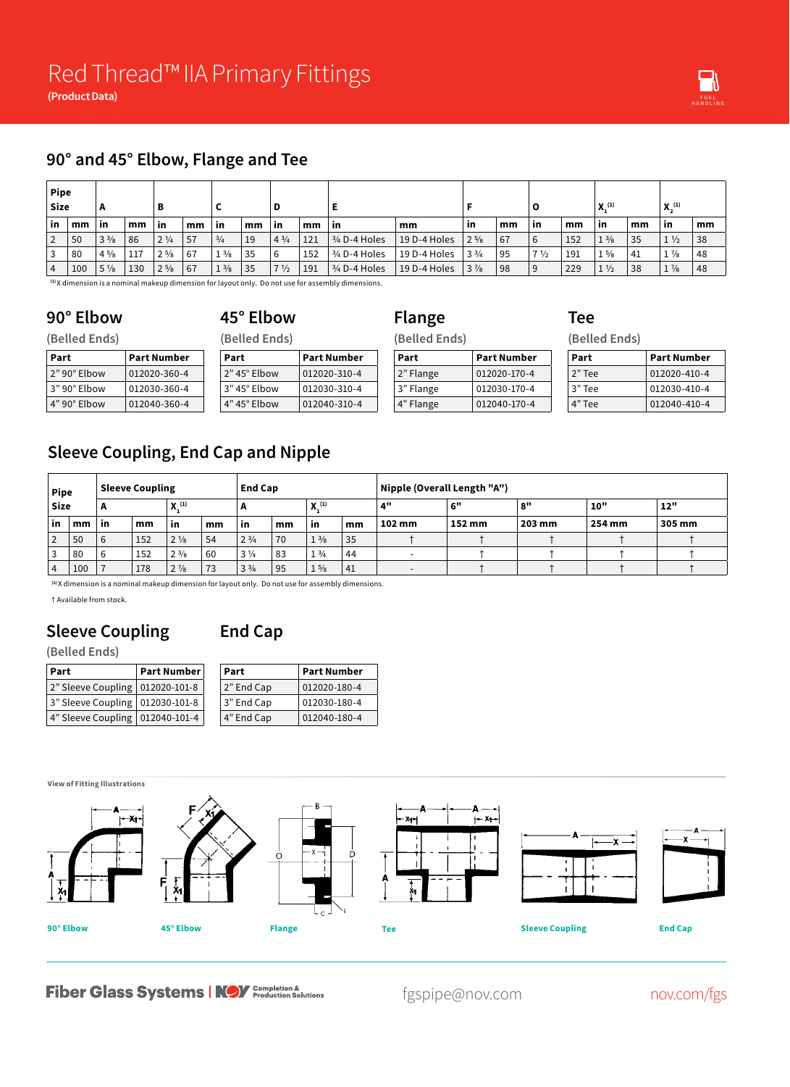#### **90° and 45° Elbow, Flange and Tee**

| <b>Pipe</b><br>Size |     | А              |     | в              |    |                |    | D              |     |                 |              |                |    |                |     | X <sub>1</sub> (1) |      | X <sub>n</sub> (1) |    |
|---------------------|-----|----------------|-----|----------------|----|----------------|----|----------------|-----|-----------------|--------------|----------------|----|----------------|-----|--------------------|------|--------------------|----|
| ∣ in                | mm  | <b>in</b>      | mm  | ∣ in           | mm | -in            | mm | -in            | mm  | ∣ in            | mm           | <b>in</b>      | mm | -in            | mm  | <b>in</b>          | mm   | -in                | mm |
| $\overline{2}$      | 50  | $3\frac{3}{8}$ | 86  | $2\frac{1}{4}$ | 57 | $^{3/4}$       | 19 | $4^{3}/4$      | 121 | $3/4$ D-4 Holes | 19 D-4 Holes | $2\frac{5}{8}$ | 67 | -6             | 152 | $1\frac{3}{8}$     | 35   | $1\frac{1}{2}$     | 38 |
| 3                   | 80  | $4\frac{5}{8}$ | 117 | $2^{5/8}$      | 67 | $1\frac{3}{8}$ | 35 | 6              | 152 | $3/4$ D-4 Holes | 19 D-4 Holes | $3\frac{3}{4}$ | 95 | $7\frac{1}{2}$ | 191 | $1\frac{5}{8}$     | ' 41 | $1\frac{7}{8}$     | 48 |
| $\overline{4}$      | 100 | $5\frac{1}{8}$ | 130 | $2^{5/8}$      | 67 | $1\frac{3}{8}$ | 35 | $7\frac{1}{2}$ | 191 | $3/4$ D-4 Holes | 19 D-4 Holes | $3\frac{7}{8}$ | 98 | <u>g</u>       | 229 | $1\frac{1}{2}$     | 38   | $1\frac{7}{8}$     | 48 |

**Flange**

**(1)** X dimension is a nominal makeup dimension for layout only. Do not use for assembly dimensions.

#### **45° Elbow**

**90° Elbow (Belled Ends)**

**(Belled Ends)**

**Part Part Number** 2" 90° Elbow 012020-360-4 3" 90° Elbow 012030-360-4 4" 90° Elbow 012040-360-4 **Part Part Number** 2" 45° Elbow 012020-310-4 3" 45° Elbow 012030-310-4 4" 45° Elbow 012040-310-4

| (Belled Ends) |                    |  |  |  |  |  |  |
|---------------|--------------------|--|--|--|--|--|--|
| Part          | <b>Part Number</b> |  |  |  |  |  |  |
| 2" Flange     | 012020-170-4       |  |  |  |  |  |  |
| 3" Flange     | 012030-170-4       |  |  |  |  |  |  |
| 4" Flange     | 012040-170-4       |  |  |  |  |  |  |

| Tee           |  |
|---------------|--|
| (Belled Ends) |  |

| Part   | <b>Part Number</b> |
|--------|--------------------|
| 2" Tee | 012020-410-4       |
| 3" Tee | 012030-410-4       |
| 4" Tee | 012040-410-4       |

## **Sleeve Coupling, End Cap and Nipple**

| <b>Pipe</b><br><b>Size</b> |     | <b>Sleeve Coupling</b> |     |                |    | <b>End Cap</b> |    |                          |    | Nipple (Overall Length "A") |        |        |            |        |  |  |
|----------------------------|-----|------------------------|-----|----------------|----|----------------|----|--------------------------|----|-----------------------------|--------|--------|------------|--------|--|--|
|                            |     | A                      |     | $X^{(1)}$      |    | n              |    | $\mathbf{Y}^{(1)}$<br>л. |    | 4"                          | $_{c}$ | 8"     | <b>10"</b> | 12"    |  |  |
| in                         | mm  | in                     | mm  | ïn             | mm | -in            | mm | in                       | mm | 102 mm                      | 152 mm | 203 mm | 254 mm     | 305 mm |  |  |
|                            | 50  | 6                      | 152 | $2\frac{1}{8}$ | 54 | $2^{3/4}$      | 70 | $1\frac{3}{8}$           | 35 |                             |        |        |            |        |  |  |
|                            | 80  | 6                      | 152 | $2\frac{3}{8}$ | 60 | $3\frac{1}{4}$ | 83 | $1\frac{3}{4}$           | 44 | $\overline{\phantom{0}}$    |        |        |            |        |  |  |
|                            | 100 |                        | 178 | $2\frac{7}{8}$ | 73 | $3\frac{3}{4}$ | 95 | $1\frac{5}{8}$           | 41 |                             |        |        |            |        |  |  |

**(1)** X dimension is a nominal makeup dimension for layout only. Do not use for assembly dimensions.

† Available from stock.

## **Sleeve Coupling**

## **End Cap**

#### **(Belled Ends)**

| ∣ Part                            | Part Number | Part       | Part Number        |  |  |
|-----------------------------------|-------------|------------|--------------------|--|--|
| 2" Sleeve Coupling   012020-101-8 |             | 2" End Cap | $012020 - 180 - 4$ |  |  |
| 3" Sleeve Coupling   012030-101-8 |             | 3" End Cap | $ 012030-180-4$    |  |  |
| 4" Sleeve Coupling   012040-101-4 |             | 4" End Cap | $ 012040-180-4$    |  |  |



**Fiber Glass Systems | NOV** Completion &

fgspipe@nov.com nov.com/fgs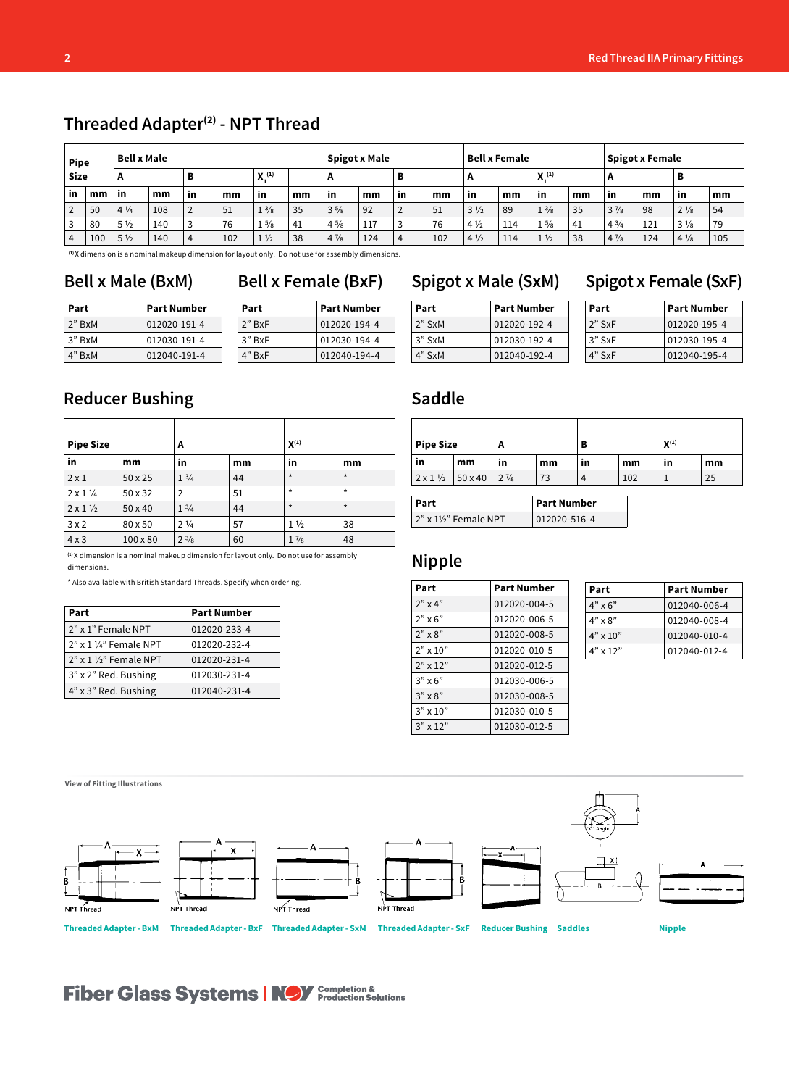| <b>Pipe</b> |     | <b>Bell x Male</b> |     |    |     | <b>Spigot x Male</b> |      |                | <b>Bell x Female</b> |                |     |                | <b>Spigot x Female</b> |                |        |                |     |                |     |
|-------------|-----|--------------------|-----|----|-----|----------------------|------|----------------|----------------------|----------------|-----|----------------|------------------------|----------------|--------|----------------|-----|----------------|-----|
| <b>Size</b> |     | A                  |     | в  |     | $\mathbf{Y}^{(1)}$   |      | A              |                      |                | A   |                | X <sub>1</sub> (1)     |                | в<br>A |                |     |                |     |
| <b>in</b>   | mm  | l in               | mm  | in | mm  | -in                  | mm   | in             | mm                   | <b>in</b>      | mm  | -in            | mm                     | in             | mm     | in             | mm  | in             | mm  |
|             | 50  | $4\frac{1}{4}$     | 108 | 2  | 51  | $1\frac{3}{8}$       | 35   | $3\frac{5}{8}$ | 92                   |                | 51  | $3\frac{1}{2}$ | 89                     | $1\frac{3}{8}$ | 35     | $3\frac{7}{8}$ | 98  | $2\frac{1}{8}$ | 54  |
|             | 80  | $5\frac{1}{2}$     | 140 |    | 76  | $1\frac{5}{8}$       | ` 41 | $4\frac{5}{8}$ | 117                  |                | 76  | $4\frac{1}{2}$ | 114                    | $1\frac{5}{8}$ | 41     | $4\frac{3}{4}$ | 121 | $3\frac{1}{8}$ | 79  |
| 4           | 100 | $5\frac{1}{2}$     | 140 | 4  | 102 | $1\frac{1}{2}$       | 38   | $4\frac{7}{8}$ | 124                  | $\overline{ }$ | 102 | $4\frac{1}{2}$ | 114                    | $1\frac{1}{2}$ | 38     | $4\frac{7}{8}$ | 124 | $4\frac{1}{8}$ | 105 |

**Threaded Adapter(2) - NPT Thread**

**(1)** X dimension is a nominal makeup dimension for layout only. Do not use for assembly dimensions.

#### **Bell x Male (BxM) Bell x Female (BxF) Spigot x Male (SxM) Spigot x Female (SxF)**

| Part   | <b>Part Number</b> | Part     | <b>Part Number</b> |  |  |
|--------|--------------------|----------|--------------------|--|--|
| 2" BxM | 012020-191-4       | $2"$ BxF | 012020-194-4       |  |  |
| 3" BxM | 012030-191-4       | 3" BxF   | 012030-194-4       |  |  |
| 4" BxM | 012040-191-4       | 4" BxF   | 012040-194-4       |  |  |

## **Reducer Bushing**

| <b>Pipe Size</b>           |                 | A               |    | $X^{(1)}$      |         |  |  |
|----------------------------|-----------------|-----------------|----|----------------|---------|--|--|
| in                         | mm              | in              | mm | in             | mm      |  |  |
| $2 \times 1$               | $50 \times 25$  | $1 \frac{3}{4}$ | 44 | $\star$        | $\star$ |  |  |
| $2 \times 1$ $\frac{1}{4}$ | $50 \times 32$  | $\overline{2}$  | 51 | $\star$        | $\star$ |  |  |
| $2 \times 1 \frac{1}{2}$   | $50 \times 40$  | $1 \frac{3}{4}$ | 44 | $\star$        | $\star$ |  |  |
| 3x2                        | 80 x 50         | $2\frac{1}{4}$  | 57 | $1\frac{1}{2}$ | 38      |  |  |
| 4x3                        | $100 \times 80$ | $2^{3/8}$       | 60 | $1\frac{7}{8}$ | 48      |  |  |

**(1)** X dimension is a nominal makeup dimension for layout only. Do not use for assembly dimensions.

\* Also available with British Standard Threads. Specify when ordering.

| Part                                | <b>Part Number</b> |  |  |  |  |
|-------------------------------------|--------------------|--|--|--|--|
| 2" x 1" Female NPT                  | 012020-233-4       |  |  |  |  |
| $2"$ x 1 $\frac{1}{4}$ " Female NPT | 012020-232-4       |  |  |  |  |
| $2"$ x 1 1/2" Female NPT            | 012020-231-4       |  |  |  |  |
| 3" x 2" Red. Bushing                | 012030-231-4       |  |  |  |  |
| 4" x 3" Red. Bushing                | 012040-231-4       |  |  |  |  |

#### **Part Part Number**

| rar L    | Part Number  |  |  |  |  |  |
|----------|--------------|--|--|--|--|--|
| $2"$ SxM | 012020-192-4 |  |  |  |  |  |
| 3" SxM   | 012030-192-4 |  |  |  |  |  |
| 4" SxM   | 012040-192-4 |  |  |  |  |  |

| <b>Pipe Size</b>                 |    | A                           |    | в  |     | $X^{(1)}$ |    |  |
|----------------------------------|----|-----------------------------|----|----|-----|-----------|----|--|
| in                               | mm | in                          | mm | in | mm  | in        | mm |  |
| $2 \times 1 \frac{1}{2}$ 50 x 40 |    | $\frac{1}{2}$ $\frac{7}{8}$ | 73 | 4  | 102 |           | 25 |  |

| Part                  | <b>Part Number</b> |  |  |  |
|-----------------------|--------------------|--|--|--|
| 2" x 11/2" Female NPT | 012020-516-4       |  |  |  |

#### **Nipple**

**Saddle**

| Part              | <b>Part Number</b> |
|-------------------|--------------------|
| $2"$ x 4"         | 012020-004-5       |
| $2" \times 6"$    | 012020-006-5       |
| $2" \times 8"$    | 012020-008-5       |
| $2" \times 10"$   | 012020-010-5       |
| $2"$ x 12"        | 012020-012-5       |
| $3" \times 6"$    | 012030-006-5       |
| $3" \times 8"$    | 012030-008-5       |
| $3'' \times 10''$ | 012030-010-5       |
| $3'' \times 12''$ | 012030-012-5       |

| Part            | <b>Part Number</b> |
|-----------------|--------------------|
| $4" \times 6"$  | 012040-006-4       |
| $4" \times 8"$  | 012040-008-4       |
| $4" \times 10"$ | 012040-010-4       |
| $4" \times 12"$ | 012040-012-4       |



# **Fiber Glass Systems | NOV** Completion &

| Part   | <b>Part Number</b> |
|--------|--------------------|
| 2" SxF | 012020-195-4       |
| 3" SxF | 012030-195-4       |
| 4" SxF | 012040-195-4       |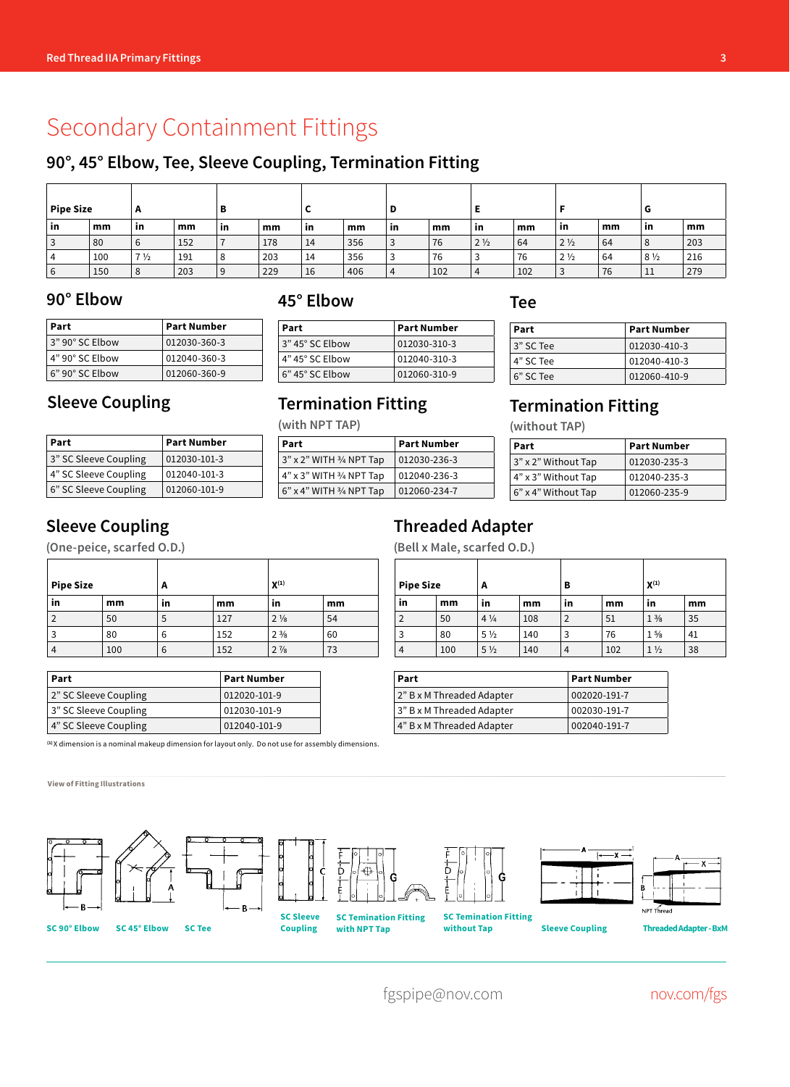# Secondary Containment Fittings

#### **90°, 45° Elbow, Tee, Sleeve Coupling, Termination Fitting**

| <b>Pipe Size</b> |     | A              |     | в  |     |           |     | D         |     |                |     |                |    | u              |     |
|------------------|-----|----------------|-----|----|-----|-----------|-----|-----------|-----|----------------|-----|----------------|----|----------------|-----|
| <b>in</b>        | mm  | <b>in</b>      | mm  | in | mm  | <b>in</b> | mm  | <b>in</b> | mm  | ้ in           | mm  | -in            | mm | in             | mm  |
|                  | 80  | b              | 152 |    | 178 | 14        | 356 | ر         | 76  | $2\frac{1}{2}$ | 64  | $2\frac{1}{2}$ | 64 | 8              | 203 |
|                  | 100 | $7\frac{1}{2}$ | 191 |    | 203 | 14        | 356 |           | 76  |                | 76  | 2 <sub>2</sub> | 64 | $8\frac{1}{2}$ | 216 |
|                  | 150 | ۰              | 203 | 9  | 229 | 16        | 406 | 4         | 102 |                | 102 | J              | 76 | 11             | 279 |

#### **90° Elbow 45° Elbow Tee**

| Part                        | Part Number  |
|-----------------------------|--------------|
| 3" 90° SC Elbow             | 012030-360-3 |
| $4"$ 90 $^{\circ}$ SC Flbow | 012040-360-3 |
| $6"$ 90 $^{\circ}$ SC Elbow | 012060-360-9 |

**(with NPT TAP)**

| Part              | <b>Part Number</b> |
|-------------------|--------------------|
| 3" 45° SC Elbow   | 012030-310-3       |
| 4" 45° SC Elbow   | 012040-310-3       |
| $6"$ 45° SC Elbow | 012060-310-9       |

**Part Part Number** 3" x 2" WITH 3/4 NPT Tap 012030-236-3

**Termination Fitting**

| Part      | <b>Part Number</b> |  |  |  |
|-----------|--------------------|--|--|--|
| 3" SC Tee | 012030-410-3       |  |  |  |
| 4" SC Tee | 012040-410-3       |  |  |  |
| 6" SC Tee | 012060-410-9       |  |  |  |

**Part Part Number** 3" x 2" Without Tap 012030-235-3

**Termination Fitting**

**(without TAP)**

### **Sleeve Coupling**

| Part                  | <b>Part Number</b> |
|-----------------------|--------------------|
| 3" SC Sleeve Coupling | 012030-101-3       |
| 4" SC Sleeve Coupling | 012040-101-3       |
| 6" SC Sleeve Coupling | 012060-101-9       |

### **Sleeve Coupling**

**(One-peice, scarfed O.D.)**

| <b>Pipe Size</b> |     | $X^{(1)}$<br>А |     |                |    |
|------------------|-----|----------------|-----|----------------|----|
| in               | mm  | in             | mm  | in             | mm |
|                  | 50  | ć              | 127 | $2\frac{1}{8}$ | 54 |
|                  | 80  | 6              | 152 | $2\frac{3}{8}$ | 60 |
|                  | 100 | ь              | 152 | $2\frac{7}{8}$ | 73 |

| Part                  | <b>Part Number</b> |
|-----------------------|--------------------|
| 2" SC Sleeve Coupling | 012020-101-9       |
| 3" SC Sleeve Coupling | 012030-101-9       |
| 4" SC Sleeve Coupling | 012040-101-9       |

**(1)** X dimension is a nominal makeup dimension for layout only. Do not use for assembly dimensions.

#### **View of Fitting Illustrations**



#### 4" x 3" WITH 3/4 NPT Tap 012040-236-3 6" x 4" WITH 3/4 NPT Tap 012060-234-7 4" x 3" Without Tap 012040-235-3 6" x 4" Without Tap 012060-235-9

#### **Threaded Adapter**

**(Bell x Male, scarfed O.D.)**

| <b>Pipe Size</b> | A   |                | в   |                | $X^{(1)}$ |                |    |
|------------------|-----|----------------|-----|----------------|-----------|----------------|----|
| in               | mm  | in             | mm  | in             | mm        | in             | mm |
| $\overline{2}$   | 50  | $4\frac{1}{4}$ | 108 | $\overline{2}$ | 51        | $1\frac{3}{8}$ | 35 |
| 3                | 80  | $5\frac{1}{2}$ | 140 | 3              | 76        | $1\frac{5}{8}$ | 41 |
| 4                | 100 | $5\frac{1}{2}$ | 140 | 4              | 102       | $1\frac{1}{2}$ | 38 |

| Part                      | <b>Part Number</b> |
|---------------------------|--------------------|
| 2" B x M Threaded Adapter | 002020-191-7       |
| 3" B x M Threaded Adapter | 002030-191-7       |
| 4" B x M Threaded Adapter | 002040-191-7       |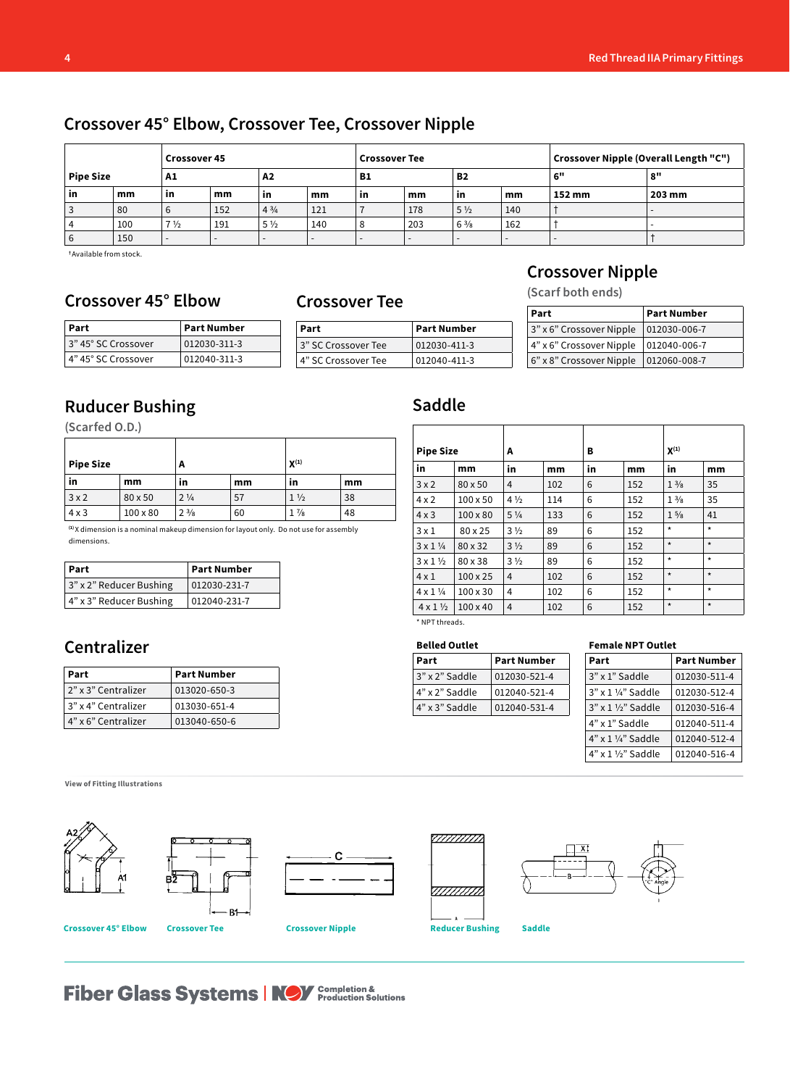## **Crossover 45° Elbow, Crossover Tee, Crossover Nipple**

| <b>Crossover 45</b>    |     |                          | <b>Crossover Tee</b> |                |           |           | Crossover Nipple (Overall Length "C") |                          |     |        |        |
|------------------------|-----|--------------------------|----------------------|----------------|-----------|-----------|---------------------------------------|--------------------------|-----|--------|--------|
| <b>Pipe Size</b><br>A1 |     | A2<br>B1                 |                      |                | <b>B2</b> |           |                                       | 6"                       | 8"  |        |        |
| in                     | mm  | in                       | mm                   | in             | mm        | <b>in</b> | mm                                    | in                       | mm  | 152 mm | 203 mm |
| 3                      | 80  |                          | 152                  | $4^{3}/4$      | 121       |           | 178                                   | $5\frac{1}{2}$           | 140 |        |        |
| 4                      | 100 | 7 <sub>2</sub>           | 191                  | $5\frac{1}{2}$ | 140       |           | 203                                   | $6\frac{3}{8}$           | 162 |        |        |
| 6                      | 150 | $\overline{\phantom{0}}$ |                      |                |           | -         |                                       | $\overline{\phantom{a}}$ | -   |        |        |

**†** Available from stock.

## **Crossover 45° Elbow Crossover Tee**

| Part                | <b>Part Number</b> |
|---------------------|--------------------|
| 3" 45° SC Crossover | 012030-311-3       |
| 4" 45° SC Crossover | 012040-311-3       |

| Part                | <b>Part Number</b> |  | $\frac{1}{3}$ " x 6" Cros |
|---------------------|--------------------|--|---------------------------|
| 3" SC Crossover Tee | 012030-411-3       |  | 4" x 6" Cro:              |
| 4" SC Crossover Tee | 012040-411-3       |  | $6"$ x $8"$ Cros          |

#### **Crossover Nipple**

**(Scarf both ends)**

| Part                                    | <b>Part Number</b> |
|-----------------------------------------|--------------------|
| 3" x 6" Crossover Nipple   012030-006-7 |                    |
| 4" x 6" Crossover Nipple   012040-006-7 |                    |
| 6" x 8" Crossover Nipple   012060-008-7 |                    |

# **Ruducer Bushing**

**(Scarfed O.D.)**

| <b>Pipe Size</b> |                 | A              |    | $X^{(1)}$      |    |  |
|------------------|-----------------|----------------|----|----------------|----|--|
| in               | mm              | <b>in</b>      | mm | in             | mm |  |
| 3x2              | 80 x 50         | $2\frac{1}{4}$ | 57 | $1\frac{1}{2}$ | 38 |  |
| $4 \times 3$     | $100 \times 80$ | $2\frac{3}{8}$ | 60 | $1\frac{7}{8}$ | 48 |  |

**(1)** X dimension is a nominal makeup dimension for layout only. Do not use for assembly dimensions.

| Part                    | <b>Part Number</b> |
|-------------------------|--------------------|
| 3" x 2" Reducer Bushing | 012030-231-7       |
| 4" x 3" Reducer Bushing | 012040-231-7       |

## **Centralizer**

| Part                | <b>Part Number</b> |
|---------------------|--------------------|
| 2" x 3" Centralizer | 013020-650-3       |
| 3" x 4" Centralizer | 013030-651-4       |
| 4" x 6" Centralizer | 013040-650-6       |

### **Saddle**

| <b>Pipe Size</b>        |                 | А              |     | в  |     | $X^{(1)}$      |         |
|-------------------------|-----------------|----------------|-----|----|-----|----------------|---------|
| in                      | mm              | in             | mm  | in | mm  | in             | mm      |
| 3x2                     | 80 x 50         | 4              | 102 | 6  | 152 | $1\frac{3}{8}$ | 35      |
| $4 \times 2$            | $100 \times 50$ | $4\frac{1}{2}$ | 114 | 6  | 152 | $1\frac{3}{8}$ | 35      |
| $4 \times 3$            | $100 \times 80$ | $5\frac{1}{4}$ | 133 | 6  | 152 | $1\frac{5}{8}$ | 41      |
| $3 \times 1$            | 80 x 25         | $3\frac{1}{2}$ | 89  | 6  | 152 | $\star$        | $\star$ |
| $3 \times 1\frac{1}{4}$ | 80 x 32         | $3\frac{1}{2}$ | 89  | 6  | 152 | $\star$        | $\star$ |
| $3 \times 1\frac{1}{2}$ | 80 x 38         | $3\frac{1}{2}$ | 89  | 6  | 152 | $\star$        | $\star$ |
| $4 \times 1$            | $100 \times 25$ | 4              | 102 | 6  | 152 | $\star$        | $\star$ |
| $4 \times 1\frac{1}{4}$ | $100 \times 30$ | 4              | 102 | 6  | 152 | $\star$        | $\star$ |
| $4 \times 1\frac{1}{2}$ | $100 \times 40$ | 4              | 102 | 6  | 152 | $\star$        | $\star$ |

\* NPT threads.

| <b>Belled Outlet</b> |  |  |  |  |  |  |
|----------------------|--|--|--|--|--|--|
| <b>Part Number</b>   |  |  |  |  |  |  |
| 012030-521-4         |  |  |  |  |  |  |
| 012040-521-4         |  |  |  |  |  |  |
| 012040-531-4         |  |  |  |  |  |  |
|                      |  |  |  |  |  |  |

#### **Female NPT Outlet**

| Part                            | <b>Part Number</b> |  |  |  |  |  |
|---------------------------------|--------------------|--|--|--|--|--|
| 3" x 1" Saddle                  | 012030-511-4       |  |  |  |  |  |
| $3"$ x 1 1/4" Saddle            | 012030-512-4       |  |  |  |  |  |
| $3"$ x 1 1/2" Saddle            | 012030-516-4       |  |  |  |  |  |
| 4" x 1" Saddle                  | 012040-511-4       |  |  |  |  |  |
| $4"$ x 1 $\frac{1}{4}$ " Saddle | 012040-512-4       |  |  |  |  |  |
| $4"$ x 1 1/2" Saddle            | 012040-516-4       |  |  |  |  |  |

**View of Fitting Illustrations**



**Fiber Glass Systems | NOV** Completion &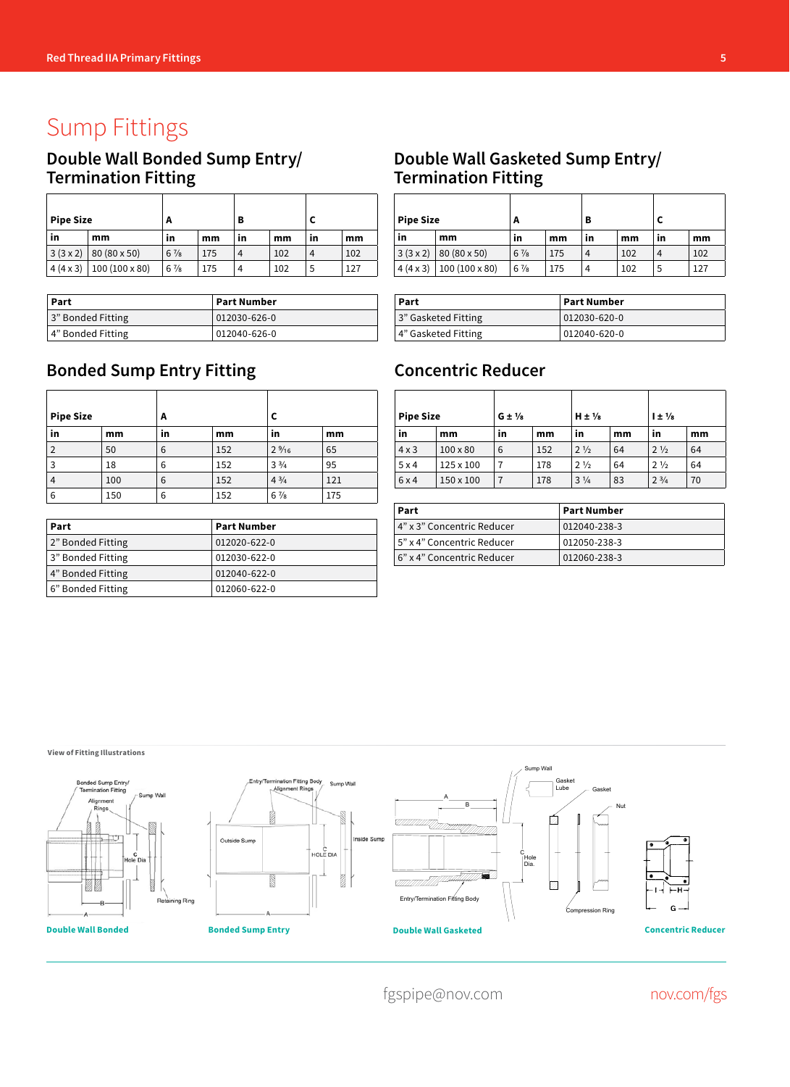# Sump Fittings

## **Double Wall Bonded Sump Entry/ Termination Fitting**

| <b>Pipe Size</b> |                | A              |     | в  |     |    |     |
|------------------|----------------|----------------|-----|----|-----|----|-----|
| in               | mm             | in             | mm  | in | mm  | in | mm  |
| 3(3x2)           | 80 (80 x 50)   | $6\frac{7}{8}$ | 175 | 4  | 102 | 4  | 102 |
| $4(4 \times 3)$  | 100 (100 x 80) | $6\frac{7}{8}$ | 175 | 4  | 102 | 5  | 127 |

| Part              | Part Number         |
|-------------------|---------------------|
| 3" Bonded Fitting | $ 012030 - 626 - 0$ |
| 4" Bonded Fitting | 012040-626-0        |

# **Bonded Sump Entry Fitting**

| <b>Pipe Size</b> |     | A  |     |                 |     |
|------------------|-----|----|-----|-----------------|-----|
| in               | mm  | in | mm  | in              | mm  |
| $\overline{2}$   | 50  | 6  | 152 | $2\frac{9}{16}$ | 65  |
| 3                | 18  | 6  | 152 | $3\frac{3}{4}$  | 95  |
| 4                | 100 | 6  | 152 | $4\frac{3}{4}$  | 121 |
| 6                | 150 | 6  | 152 | $6\frac{7}{8}$  | 175 |

| Part              | <b>Part Number</b> |
|-------------------|--------------------|
| 2" Bonded Fitting | 012020-622-0       |
| 3" Bonded Fitting | 012030-622-0       |
| 4" Bonded Fitting | 012040-622-0       |
| 6" Bonded Fitting | 012060-622-0       |

#### **Double Wall Gasketed Sump Entry/ Termination Fitting**

| <b>Pipe Size</b> |                | A              |     | в  |     |    |     |
|------------------|----------------|----------------|-----|----|-----|----|-----|
| in               | mm             | in             | mm  | in | mm  | in | mm  |
| 3(3x2)           | 80 (80 x 50)   | $6\frac{7}{8}$ | 175 | 4  | 102 | 4  | 102 |
| $4(4 \times 3)$  | 100 (100 x 80) | $6\frac{7}{8}$ | 175 | 4  | 102 | 5  | 127 |

| Part                | Part Number  |  |  |
|---------------------|--------------|--|--|
| 3" Gasketed Fitting | 012030-620-0 |  |  |
| 4" Gasketed Fitting | 012040-620-0 |  |  |

### **Concentric Reducer**

| <b>Pipe Size</b> |                 | $G \pm \frac{1}{8}$ |     | $H \pm \frac{1}{8}$ |    | $1 \pm \frac{1}{8}$ |    |
|------------------|-----------------|---------------------|-----|---------------------|----|---------------------|----|
| in               | mm              | in                  | mm  | in                  | mm | in                  | mm |
| $4 \times 3$     | $100 \times 80$ | 6                   | 152 | $2\frac{1}{2}$      | 64 | $2\frac{1}{2}$      | 64 |
| 5x4              | 125 x 100       |                     | 178 | $2\frac{1}{2}$      | 64 | $2\frac{1}{2}$      | 64 |
| 6x4              | 150 x 100       |                     | 178 | $3\frac{1}{4}$      | 83 | $2^{3/4}$           | 70 |

| Part                         | <b>Part Number</b> |
|------------------------------|--------------------|
| 4" x 3" Concentric Reducer   | 012040-238-3       |
| l 5" x 4" Concentric Reducer | 012050-238-3       |
| 6" x 4" Concentric Reducer   | 012060-238-3       |

**View of Fitting Illustrations**